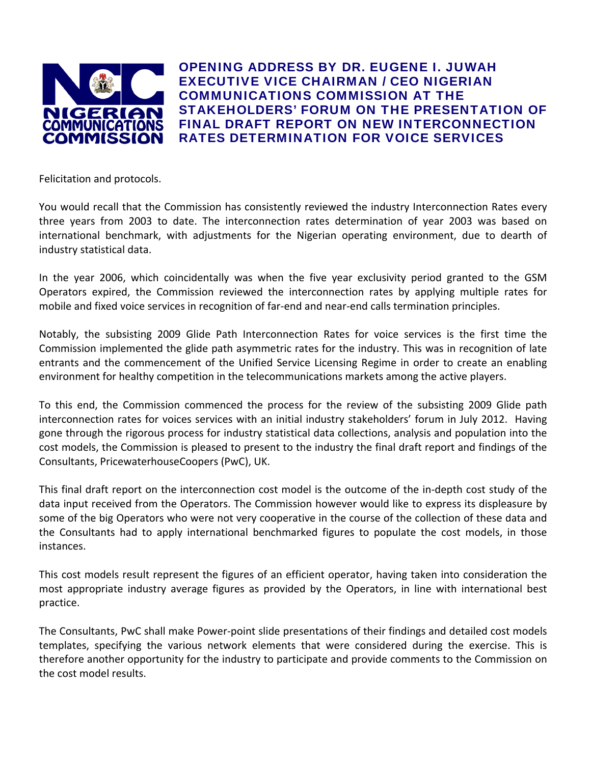

OPENING ADDRESS BY DR. EUGENE I. JUWAH EXECUTIVE VICE CHAIRMAN / CEO NIGERIAN COMMUNICATIONS COMMISSION AT THE STAKEHOLDERS' FORUM ON THE PRESENTATION OF FINAL DRAFT REPORT ON NEW INTERCONNECTION RATES DETERMINATION FOR VOICE SERVICES

Felicitation and protocols.

You would recall that the Commission has consistently reviewed the industry Interconnection Rates every three years from 2003 to date. The interconnection rates determination of year 2003 was based on international benchmark, with adjustments for the Nigerian operating environment, due to dearth of industry statistical data.

In the year 2006, which coincidentally was when the five year exclusivity period granted to the GSM Operators expired, the Commission reviewed the interconnection rates by applying multiple rates for mobile and fixed voice services in recognition of far-end and near-end calls termination principles.

Notably, the subsisting 2009 Glide Path Interconnection Rates for voice services is the first time the Commission implemented the glide path asymmetric rates for the industry. This was in recognition of late entrants and the commencement of the Unified Service Licensing Regime in order to create an enabling environment for healthy competition in the telecommunications markets among the active players.

To this end, the Commission commenced the process for the review of the subsisting 2009 Glide path interconnection rates for voices services with an initial industry stakeholders' forum in July 2012. Having gone through the rigorous process for industry statistical data collections, analysis and population into the cost models, the Commission is pleased to present to the industry the final draft report and findings of the Consultants, PricewaterhouseCoopers (PwC), UK.

This final draft report on the interconnection cost model is the outcome of the in‐depth cost study of the data input received from the Operators. The Commission however would like to express its displeasure by some of the big Operators who were not very cooperative in the course of the collection of these data and the Consultants had to apply international benchmarked figures to populate the cost models, in those instances.

This cost models result represent the figures of an efficient operator, having taken into consideration the most appropriate industry average figures as provided by the Operators, in line with international best practice.

The Consultants, PwC shall make Power‐point slide presentations of their findings and detailed cost models templates, specifying the various network elements that were considered during the exercise. This is therefore another opportunity for the industry to participate and provide comments to the Commission on the cost model results.